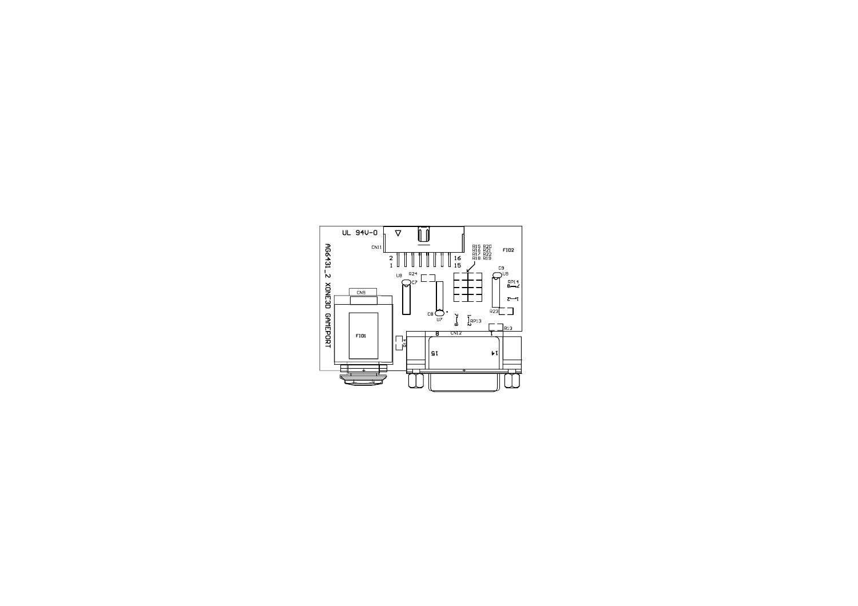